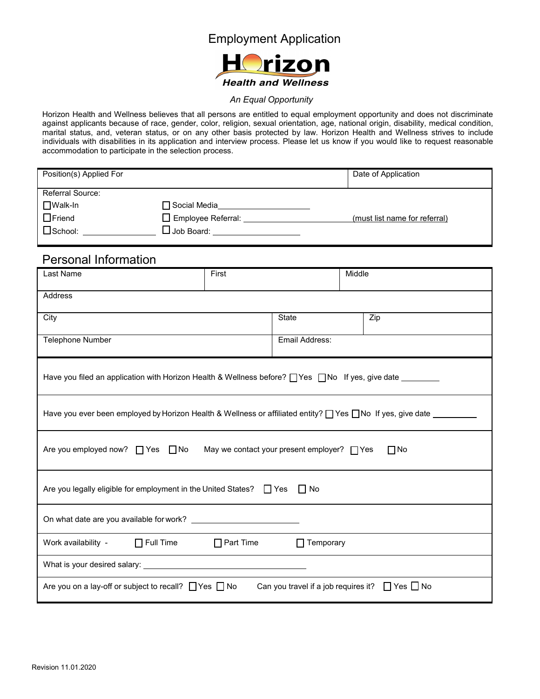#### Employment Application



#### *An Equal Opportunity*

Horizon Health and Wellness believes that all persons are entitled to equal employment opportunity and does not discriminate against applicants because of race, gender, color, religion, sexual orientation, age, national origin, disability, medical condition, marital status, and, veteran status, or on any other basis protected by law. Horizon Health and Wellness strives to include individuals with disabilities in its application and interview process. Please let us know if you would like to request reasonable accommodation to participate in the selection process.

| Position(s) Applied For | Date of Application              |                               |
|-------------------------|----------------------------------|-------------------------------|
| Referral Source:        |                                  |                               |
| $\Box$ Walk-In          | $\Box$ Social Media $\_$         |                               |
| $\Box$ Friend           | $\Box$ Employee Referral:        | (must list name for referral) |
| $\square$ School:       | $\mathsf{\mathsf{\_}Job}$ Board: |                               |
|                         |                                  |                               |

#### Personal Information

| Last Name                                                                                                                    | First |                | Middle |  |
|------------------------------------------------------------------------------------------------------------------------------|-------|----------------|--------|--|
| <b>Address</b>                                                                                                               |       |                |        |  |
| City                                                                                                                         |       | <b>State</b>   | Zip    |  |
| Telephone Number                                                                                                             |       | Email Address: |        |  |
| Have you filed an application with Horizon Health & Wellness before? The Sumble of tyes, give date _______                   |       |                |        |  |
| Have you ever been employed by Horizon Health & Wellness or affiliated entity? $\Box$ Yes $\Box$ No If yes, give date $\Box$ |       |                |        |  |
| Are you employed now? $\Box$ Yes $\Box$ No<br>May we contact your present employer? $\Box$ Yes<br>$\Box$ No                  |       |                |        |  |
| Are you legally eligible for employment in the United States? $\Box$ Yes $\Box$ No                                           |       |                |        |  |
|                                                                                                                              |       |                |        |  |
| Work availability - $\Box$ Full Time $\Box$ Part Time $\Box$ Temporary                                                       |       |                |        |  |
|                                                                                                                              |       |                |        |  |
| Can you travel if a job requires it? $\Box$ Yes $\Box$ No<br>Are you on a lay-off or subject to recall? $\Box$ Yes $\Box$ No |       |                |        |  |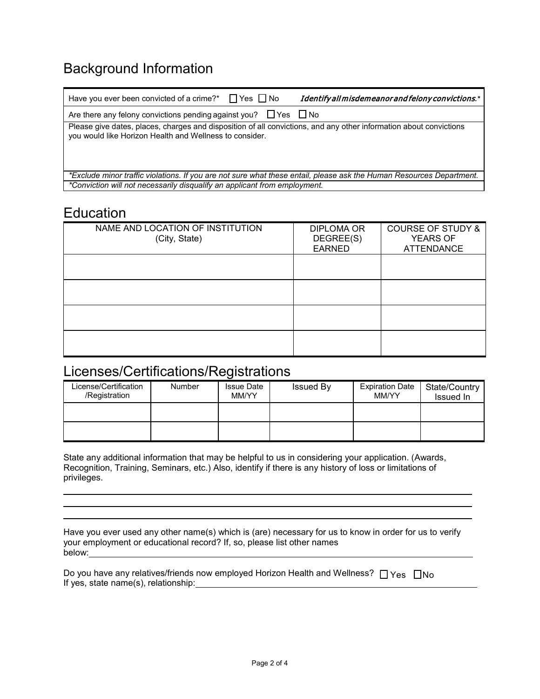# Background Information

| Have you ever been convicted of a crime?* $\Box$ Yes $\Box$ No<br>Identify all misdemeanor and felony convictions.*                                                           |
|-------------------------------------------------------------------------------------------------------------------------------------------------------------------------------|
| Are there any felony convictions pending against you? $\Box$ Yes $\Box$ No                                                                                                    |
| Please give dates, places, charges and disposition of all convictions, and any other information about convictions<br>you would like Horizon Health and Wellness to consider. |
| *Exclude minor traffic violations. If you are not sure what these entail, please ask the Human Resources Department.                                                          |
| *Conviction will not necessarily disqualify an applicant from employment.                                                                                                     |

### Education

| NAME AND LOCATION OF INSTITUTION<br>(City, State) | <b>DIPLOMA OR</b><br>DEGREE(S)<br><b>EARNED</b> | <b>COURSE OF STUDY &amp;</b><br><b>YEARS OF</b><br><b>ATTENDANCE</b> |
|---------------------------------------------------|-------------------------------------------------|----------------------------------------------------------------------|
|                                                   |                                                 |                                                                      |
|                                                   |                                                 |                                                                      |
|                                                   |                                                 |                                                                      |
|                                                   |                                                 |                                                                      |

## Licenses/Certifications/Registrations

| License/Certification<br>/Registration | <b>Number</b> | <b>Issue Date</b><br>MM/YY | Issued By | <b>Expiration Date</b><br>MM/YY | State/Country<br>Issued In |
|----------------------------------------|---------------|----------------------------|-----------|---------------------------------|----------------------------|
|                                        |               |                            |           |                                 |                            |
|                                        |               |                            |           |                                 |                            |

State any additional information that may be helpful to us in considering your application. (Awards, Recognition, Training, Seminars, etc.) Also, identify if there is any history of loss or limitations of privileges.

| Have you ever used any other name(s) which is (are) necessary for us to know in order for us to verify |
|--------------------------------------------------------------------------------------------------------|
| your employment or educational record? If, so, please list other names                                 |
| below:                                                                                                 |

| Do you have any relatives/friends now employed Horizon Health and Wellness? $\Box$ Yes $\Box$ No |  |
|--------------------------------------------------------------------------------------------------|--|
| If yes, state name(s), relationship:                                                             |  |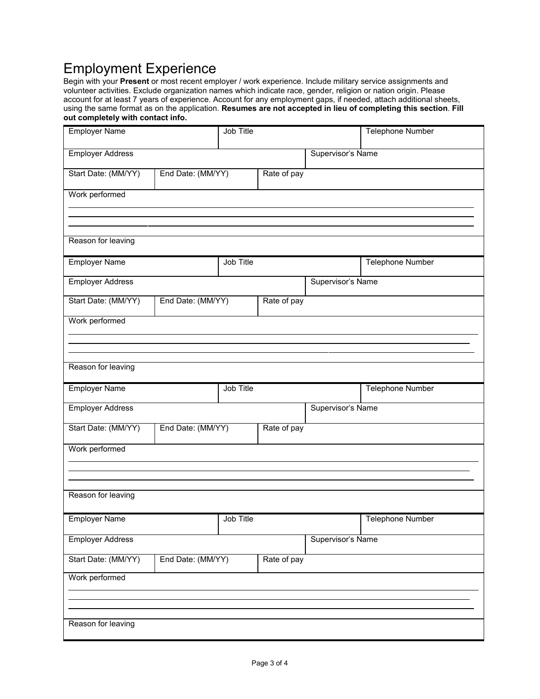# Employment Experience

Begin with your **Present** or most recent employer / work experience. Include military service assignments and volunteer activities. Exclude organization names which indicate race, gender, religion or nation origin. Please account for at least 7 years of experience. Account for any employment gaps, if needed, attach additional sheets, using the same format as on the application. **Resumes are not accepted in lieu of completing this section**. **Fill out completely with contact info.**

| <b>Employer Name</b>                                    | Job Title                                               |           |             | Telephone Number  |                         |
|---------------------------------------------------------|---------------------------------------------------------|-----------|-------------|-------------------|-------------------------|
| <b>Employer Address</b>                                 |                                                         |           |             | Supervisor's Name |                         |
| Start Date: (MM/YY)                                     | End Date: (MM/YY)<br>Rate of pay                        |           |             |                   |                         |
| Work performed                                          |                                                         |           |             |                   |                         |
|                                                         |                                                         |           |             |                   |                         |
| Reason for leaving                                      |                                                         |           |             |                   |                         |
| <b>Employer Name</b>                                    |                                                         | Job Title |             |                   | Telephone Number        |
| <b>Employer Address</b>                                 |                                                         |           |             | Supervisor's Name |                         |
| Start Date: (MM/YY)                                     | End Date: (MM/YY)                                       |           | Rate of pay |                   |                         |
| Work performed                                          |                                                         |           |             |                   |                         |
|                                                         |                                                         |           |             |                   |                         |
| Reason for leaving                                      |                                                         |           |             |                   |                         |
| <b>Employer Name</b>                                    |                                                         | Job Title |             |                   | <b>Telephone Number</b> |
| <b>Employer Address</b>                                 |                                                         |           |             | Supervisor's Name |                         |
|                                                         | Start Date: (MM/YY)<br>End Date: (MM/YY)<br>Rate of pay |           |             |                   |                         |
| Work performed                                          |                                                         |           |             |                   |                         |
|                                                         |                                                         |           |             |                   |                         |
| Reason for leaving                                      |                                                         |           |             |                   |                         |
| Job Title<br><b>Employer Name</b>                       |                                                         |           |             | Telephone Number  |                         |
| <b>Employer Address</b>                                 |                                                         |           |             | Supervisor's Name |                         |
| Start Date: (MM/YY)<br>End Date: (MM/YY)<br>Rate of pay |                                                         |           |             |                   |                         |
| Work performed                                          |                                                         |           |             |                   |                         |
|                                                         |                                                         |           |             |                   |                         |
| Reason for leaving                                      |                                                         |           |             |                   |                         |